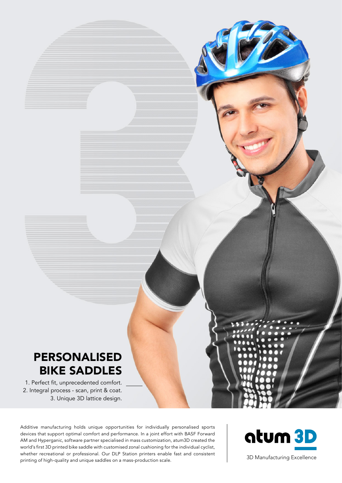# PERSONALISED BIKE SADDLES

1. Perfect fit, unprecedented comfort. 2. Integral process - scan, print & coat. 3. Unique 3D lattice design.

Additive manufacturing holds unique opportunities for individually personalised sports devices that support optimal comfort and performance. In a joint effort with BASF Forward AM and Hyperganic, software partner specialised in mass customization, atum3D created the world's first 3D printed bike saddle with customised zonal cushioning for the individual cyclist, whether recreational or professional. Our DLP Station printers enable fast and consistent printing of high-quality and unique saddles on a mass-production scale. 3D Manufacturing Excellence